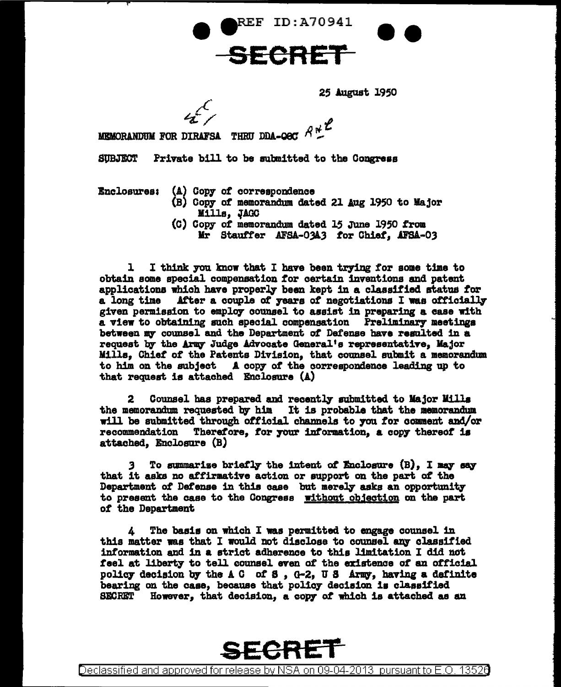**REF ID:A70941** 

## **SECRET**

25 August 1950

--

 $R$ <sup> $R$ </sup> MEMORANDUM FOR DIRAFSA THEIL DDA-OEC

SUBJECT Private bill to be submitted to the Congress

- Bnclosuresa (A) Copy *ot* correspondence
	- (B) Copy *ot* memorandum dated 21 Aug 1950 to Major Mills, JAGC
	- (C) Copy *ot* memorandum dated 15 .;JUne 1950 f'rom Mr Stauffer AFSA-03A3 for Chief. AFSA-03

1 I think you know that I have been trying for some time to obtain some special compensation for certain inventions and patent applications which have properq been kept in a classitied status *tor*  a long time .After a couple *ot* years *ot* negotiations I waa otticialll' given permission to employ counsel to assist in preparing a case with a view to obtaining such special compensation Preliminary meetings between my counsel and the Department of Defense have resulted in a request by the Army Judge Advocate General's representative. Major Milla, Chiet *ot* the Patents Division, that counsel submit a memorandum to him on the subject A copy *ot* the correspondence leading up to that request is attached Enclosure (A)

Counsel has prepared and recently submitted to Major Mills the memorandum requested by him It is probable that the memorandum will be submitted through official channels to you for comment and/or recommendation Therefore, for your information, a copy thereof is attached, Enclosure (B}

To summarize briefly the intent of *Enclosure* (B). I may say that it asks no affirmative action or support on the part of the Department of Defense in this case but merely asks an opportunity to present the case to the Congress without objection on the part *ot* the Department

A The basis on which I was permitted to engage counsel in this matter was that I would not disclose to counsel any classified information and in a strict adherence to this limitation I did not teal at liberty to tell counsel even of the existence of an official policy decision by the A C of S , G-2, U S Army, having a definite bearing on the case, because that policy decision is classified SECRET However, that decision, a copy of which is attached as an



Declassified and approved for release by NSA on 09-04-2013 pursuantto E .0. 1352a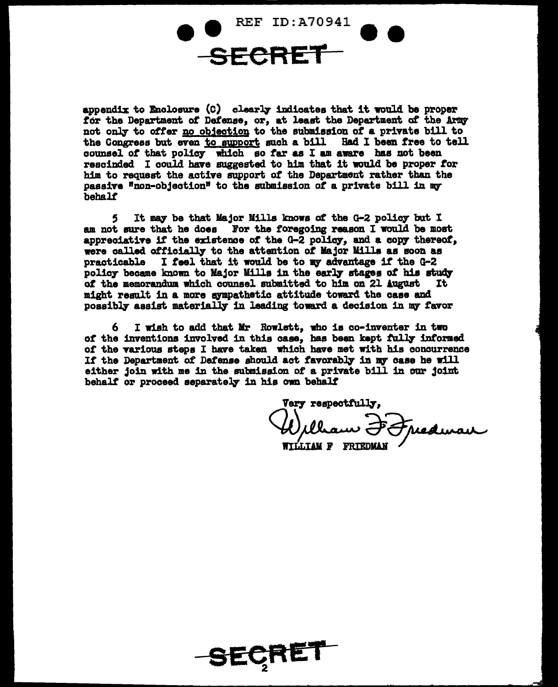REF ID:A70941 SECRET

appendix to Enclosure  $(C)$  clearly indicates that it would be proper for the Department of Defense, or, at least the Department of the Army not only to offer no objection to the submission of a private bill to the Congress but wen to support auch a bill Had I been free to tell counael *ot* that poliq which so *tar* as I am aware baa not been rescinded I could have suggested to him that it would be proper *tor*  him to request the active support ot the Department rather than the passive "non-objection" to the submission of a private bill in my behalt

5 It mq be that Major Milla knows *ct* the G-2 poliq but I am not sure that he does For the foregoing reason I would be most appreciative if the existence of the G-2 policy, and a copy thereof, were called officially to the attention of Major Mills as soon as practicable I feel that it would be to my advantage if the G-2 policy became known to Major Mills in the early stages of his study of the memorandum which counsel submitted to him on 21 August It of the memorandum which counsel submitted to him on 21 August might result in a more sympathetic attitude toward the case and possibly assist materially in leading toward a decision in my favor

I wish to add that Mr Rowlett, who is co-inventer in two of the inventions involved in this case, has been kept fully informed of the various steps I have taken which have met with his concurrence If the Department of Defense should act favorably in my case he will either join with me 1n the submission of a private bill 1n our joint behalf or proceed separately in his own behalf

Very respectfully, William Jefusduran

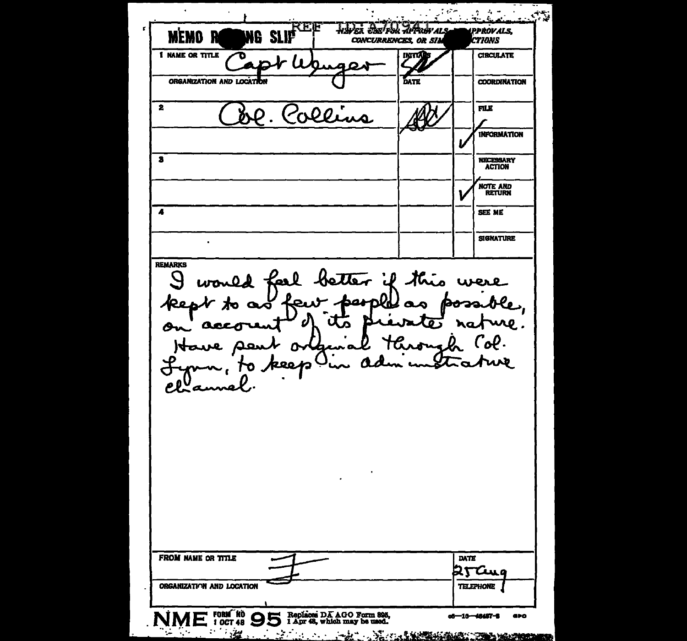$\ddot{\phantom{0}}$  $\sim 6\%$  $\begin{array}{c} \mathcal{L}_{\mathcal{A}}(\mathcal{A}) = \mathcal{L}_{\mathcal{A}}(\mathcal{A}) \end{array}$  $\sim$  0.53  $\sim 1$ waka dari 50 ga mars REE **IPPROVALS, MEMO R** NG SLIP CONCURRENCES, OR SIM **CTIONS 1 NAME OR TITLE** மாழ் **CIRCULATE** ORGANIZATION AND LOCATION ĎАTE **COORDINATION**  $\mathbf{z}$ **FILE INFORMATION**  $\overline{\mathbf{3}}$ NECESSARY<br>ACTION **NOTE AND**<br>RETURN  $\overline{\mathbf{A}}$ SEE ME **SIGNATURE REMARKS** would feel better if this were  $\mathcal{S}$ people as poss. kept to as few Đ R Ā. ure. Œδ. 石 ra acco  $\mathcal{C}$ of. Have sa mь AM O o pee b  $\overline{\textbf{d}}$ Planne **FROM NAME OR TITLE** DATE 25 Cug ORGANIZATION AND LOCATION **TELEPHONE** NME FORM RO S Replaces DA AGO Form 885,  $-10 - 48487 - 8$ GPO  $\mathbb{R}^n$ <u> 1999 - Maria Maria Marekania (h. 1988).</u>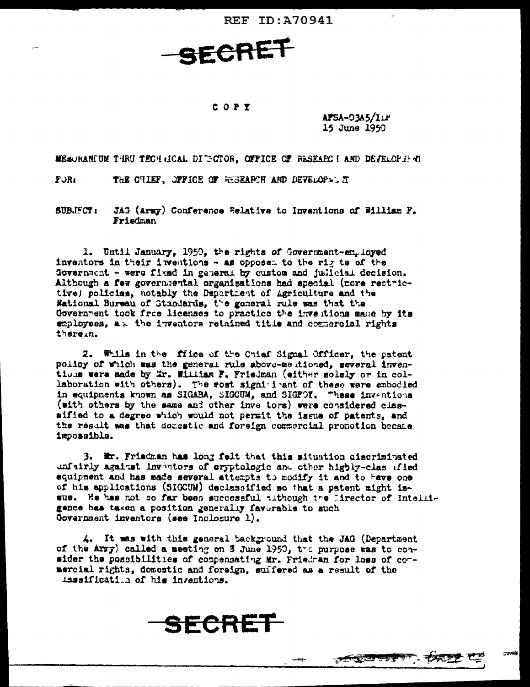**REF ID: A70941** 

SECRET

## COPY

AFSA-03A5/ILP 15 June 1950

MESORANIUM THRU TECHNICAL DI GOOR, OFFICE OF RESEARCI AND DETELOPEEN

 $R\cup R$ THE CHIEF. JPFICE OF RESEARCH AND DEVELOPS. IT

**SUBJECT:** JAG (Army) Conference Relative to Inventions of William F. Friedman

1. Until January, 1950, the rights of Government-employed inventors in their inventions - as opposed to the rig ts of the Government - were fixed in general by custom and judicial decision. Although a few governmental organizations had special (more rest-ictive) policies, notably the Department of Agriculture and the Mational Bureau of Standards, the general rule was that the Government took froe licenses to practice the inventions made by its employees, a. the inventors retained title and commercial rights therein.

2. While in the files of the Chief Signal Officer, the patent policy of which was the general rule above-meutioned, several inventions were made by Mr. William F. Friedman (either solely or in collaboration with others). The wost signi i ant of these were embodied in equipments known as SIGABA, SIGCUM, and SIGFOY. These inventions (with others by the same and other inve tors) were considered classified to a degree which would not permit the issue of patents, and the result was that domestic and foreign commercial promotion became impossible.

3. Mr. Friedman has long felt that this situation ciscriminated unfairly against inventors of cryptologic and other highly-clas ified equipment and has made several attempts to modify it and to have one of his applications (SIGCUM) declassified so that a patent might issue. He has not so far been successful tithough the lirector of Intelligance has taken a position generally favorable to such Government inventors (see Inclosure 1).

4. It was with this general background that the JAG (Department of the Arry) called a meeting on 3 June 1950, the purpose was to consider the possibilities of compensating Mr. Friedran for loss of cormercial rights, domestic and foreign, suffered as a result of the issaification of his inventions.

SECRET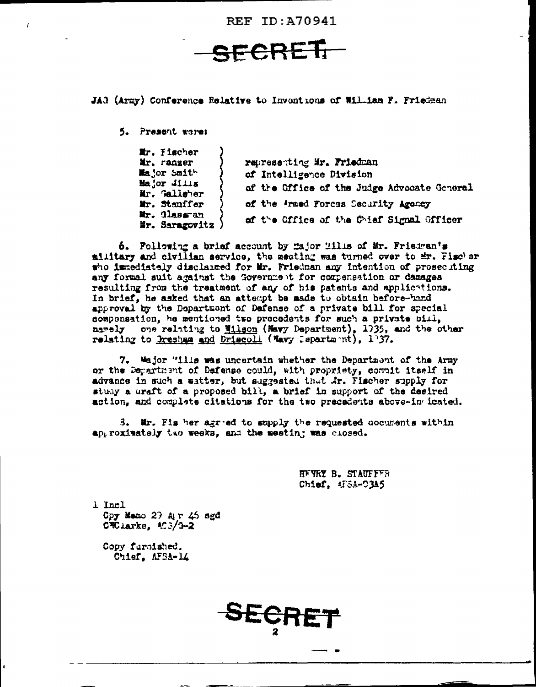**REF ID: A70941** 

FCRET

JAG (Army) Conference Relative to Inventions of William F. Friedman

5. Present were:

| Er. Fischer                    |                                             |
|--------------------------------|---------------------------------------------|
| Mr. ranzer                     | representing Mr. Friedman                   |
| Major Smith                    | of Intelligence Division                    |
| Major Mills<br>Mr. Galleher    | of the Office of the Judge Advocate Goveral |
| Mr. Stanffer                   | of the Armed Forces Security Agency         |
| Mr. Classman<br>Mr. Saragovitz | of the Office of the Chief Signal Officer   |

6. Pollowing a brief account by fajor lills of Mr. Frieuran's military and civilian service, the meeting was turned over to mr. Fischer the immediately disclaired for Mr. Friedman any intention of prosecuting any formal suit against the Government for compensation or damages resulting from the treatment of any of his patents and applications. In brief, he asked that an attempt be asde to obtain before-hand approval by the Department of Dafense of a private bill for special componsation, he mentioned two precedents for such a private bill. namely one relating to Wilson (Mavy Department), 1935, and the other relating to Bresham and Driscoll (Wavy Department), 137.

7. Wajor "ills was uncertain whether the Department of the Army or the Department of Dafense could, with propriety, compit itself in advance in such a matter, but suggested that Ar. Fischer supply for study a draft of a proposed bill, a brief in support of the desired action, and complete citations for the two precedents above-in icated.

3. Mr. Fis her agreed to supply the requested cocuments within approximately two weeks, and the meeting was closed.

SECH

HEYRY B. STAUFFFR Chief, 4FSA-03A5

 $1$  Incl Cpy Memo 27 Air 45 sgd  $C\overline{\mathcal{R}}$  larke.  $C\overline{S}/3-2$ 

Copy furnished. Chief. MSA-14